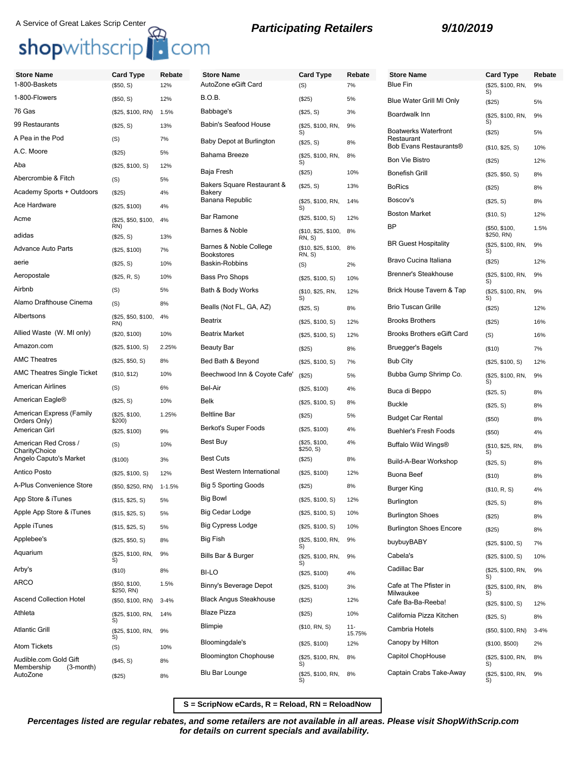## A Service of Great Lakes Scrip Center<br> **Shop**withscrip<br> **Shop**withscrip<br> **Participating Retailers**<br> **9/10/2019**

| <b>Store Name</b>                       | <b>Card Type</b>           | Rebate     | <b>Store Name</b>                                       | <b>Card Type</b>              | Rebate           | <b>Store Name</b>                    | <b>Card Type</b>            | Rebate   |
|-----------------------------------------|----------------------------|------------|---------------------------------------------------------|-------------------------------|------------------|--------------------------------------|-----------------------------|----------|
| 1-800-Baskets                           | (\$50, S)                  | 12%        | AutoZone eGift Card                                     | (S)                           | 7%               | <b>Blue Fin</b>                      | (\$25, \$100, RN,<br>S)     | 9%       |
| 1-800-Flowers                           | (\$50, S)                  | 12%        | <b>B.O.B.</b>                                           | (\$25)                        | 5%               | Blue Water Grill MI Only             | (\$25)                      | 5%       |
| 76 Gas                                  | (\$25, \$100, RN)          | 1.5%       | Babbage's                                               | (\$25, S)                     | 3%               | Boardwalk Inn                        | (\$25, \$100, RN,           | 9%       |
| 99 Restaurants                          | (\$25, S)                  | 13%        | Babin's Seafood House                                   | (\$25, \$100, RN,<br>S)       | 9%               | <b>Boatwerks Waterfront</b>          | S)<br>(\$25)                | 5%       |
| A Pea in the Pod                        | (S)                        | 7%         | Baby Depot at Burlington                                | (\$25, S)                     | 8%               | Restaurant<br>Bob Evans Restaurants® |                             |          |
| A.C. Moore                              | (\$25)                     | 5%         | Bahama Breeze                                           | (\$25, \$100, RN,             | 8%               | <b>Bon Vie Bistro</b>                | (\$10, \$25, S)             | 10%      |
| Aba                                     | (\$25, \$100, S)           | 12%        | Baja Fresh                                              | S)<br>(\$25)                  | 10%              | <b>Bonefish Grill</b>                | (\$25)                      | 12%      |
| Abercrombie & Fitch                     | (S)                        | 5%         | Bakers Square Restaurant &                              | (\$25, S)                     | 13%              | <b>BoRics</b>                        | (\$25, \$50, S)             | 8%       |
| Academy Sports + Outdoors               | (\$25)                     | 4%         | <b>Bakerv</b>                                           |                               |                  |                                      | (\$25)                      | 8%       |
| Ace Hardware                            | (\$25, \$100)              | 4%         | Banana Republic                                         | (\$25, \$100, RN,<br>S)       | 14%              | Boscov's                             | (\$25, S)                   | 8%       |
| Acme                                    | (\$25, \$50, \$100,<br>RN) | 4%         | <b>Bar Ramone</b>                                       | (\$25, \$100, S)              | 12%              | <b>Boston Market</b><br><b>BP</b>    | (\$10, S)                   | 12%      |
| adidas                                  | (\$25, S)                  | 13%        | Barnes & Noble                                          | (\$10, \$25, \$100,<br>RN, S) | 8%               |                                      | (\$50, \$100,<br>\$250, RN) | 1.5%     |
| <b>Advance Auto Parts</b>               | (\$25, \$100)              | 7%         | Barnes & Noble College<br><b>Bookstores</b>             | (\$10, \$25, \$100,<br>RN, S) | 8%               | <b>BR Guest Hospitality</b>          | (\$25, \$100, RN,<br>S)     | 9%       |
| aerie                                   | (\$25, S)                  | 10%        | Baskin-Robbins                                          | (S)                           | 2%               | Bravo Cucina Italiana                | (\$25)                      | 12%      |
| Aeropostale                             | (\$25, R, S)               | 10%        | Bass Pro Shops                                          | (\$25, \$100, S)              | 10%              | <b>Brenner's Steakhouse</b>          | (\$25, \$100, RN,<br>S)     | 9%       |
| Airbnb                                  | (S)                        | 5%         | Bath & Body Works                                       | (\$10, \$25, RN,              | 12%              | Brick House Tavern & Tap             | (\$25, \$100, RN,           | 9%       |
| Alamo Drafthouse Cinema                 | (S)                        | 8%         | Bealls (Not FL, GA, AZ)                                 | S)<br>(\$25, S)               | 8%               | <b>Brio Tuscan Grille</b>            | S)<br>(\$25)                | 12%      |
| Albertsons                              | (\$25, \$50, \$100,<br>RN) | 4%         | Beatrix                                                 | (\$25, \$100, S)              | 12%              | <b>Brooks Brothers</b>               | (\$25)                      | 16%      |
| Allied Waste (W. MI only)               | (\$20, \$100)              | 10%        | <b>Beatrix Market</b>                                   | (\$25, \$100, S)              | 12%              | <b>Brooks Brothers eGift Card</b>    | (S)                         | 16%      |
| Amazon.com                              | (\$25, \$100, S)           | 2.25%      | <b>Beauty Bar</b>                                       | (\$25)                        | 8%               | <b>Bruegger's Bagels</b>             | (\$10)                      | 7%       |
| <b>AMC Theatres</b>                     | (\$25, \$50, S)            | 8%         | Bed Bath & Beyond                                       | (\$25, \$100, S)              | 7%               | <b>Bub City</b>                      | (\$25, \$100, S)            | 12%      |
| <b>AMC Theatres Single Ticket</b>       | (\$10, \$12)               | 10%        | Beechwood Inn & Coyote Cafe'                            | (\$25)                        | 5%               | Bubba Gump Shrimp Co.                | (\$25, \$100, RN,           | 9%       |
| <b>American Airlines</b>                | (S)                        | 6%         | Bel-Air                                                 | (\$25, \$100)                 | 4%               | Buca di Beppo                        | S)<br>(\$25, S)             | 8%       |
| American Eagle <sup>®</sup>             | (\$25, S)                  | 10%        | Belk                                                    | (\$25, \$100, S)              | 8%               | <b>Buckle</b>                        | (\$25, S)                   | 8%       |
| American Express (Family                | (\$25, \$100,              | 1.25%      | <b>Beltline Bar</b>                                     | (\$25)                        | 5%               | <b>Budget Car Rental</b>             | (\$50)                      | 8%       |
| Orders Only)<br>American Girl           | \$200)<br>(\$25, \$100)    | 9%         | Berkot's Super Foods                                    | (\$25, \$100)                 | 4%               | <b>Buehler's Fresh Foods</b>         | (\$50)                      | 4%       |
| American Red Cross /                    | (S)                        | 10%        | Best Buy                                                | (\$25. \$100.<br>\$250, S)    | 4%               | Buffalo Wild Wings®                  | (\$10, \$25, RN,            | 8%       |
| CharityChoice<br>Angelo Caputo's Market | (\$100)                    | 3%         | <b>Best Cuts</b>                                        | (\$25)                        | 8%               | Build-A-Bear Workshop                | S)<br>(\$25, S)             | 8%       |
| Antico Posto                            | (\$25, \$100, S)           | 12%        | <b>Best Western International</b>                       | (\$25, \$100)                 | 12%              | <b>Buona Beef</b>                    |                             | 8%       |
| A-Plus Convenience Store                | (\$50, \$250, RN)          | $1 - 1.5%$ | <b>Big 5 Sporting Goods</b>                             | (\$25)                        | 8%               | Burger King                          | (\$10)<br>(\$10, R, S)      | 4%       |
| App Store & iTunes                      | (\$15, \$25, S)            | 5%         | <b>Big Bowl</b>                                         | (\$25, \$100, S)              | 12%              | Burlington                           | (\$25, S)                   | 8%       |
| Apple App Store & iTunes                | (\$15, \$25, \$)           | 5%         | <b>Big Cedar Lodge</b>                                  | (\$25, \$100, S)              | 10%              | <b>Burlington Shoes</b>              |                             | 8%       |
| Apple iTunes                            | (\$15, \$25, S)            | 5%         | <b>Big Cypress Lodge</b>                                | (\$25, \$100, S)              | 10%              | <b>Burlington Shoes Encore</b>       | (\$25)<br>(\$25)            | 8%       |
| Applebee's                              | (\$25, \$50, S)            | 8%         | Big Fish                                                | (\$25, \$100, RN,             | 9%               | buybuyBABY                           | (\$25, \$100, S)            | 7%       |
| Aquarium                                | (\$25, \$100, RN,          | 9%         | Bills Bar & Burger                                      | (\$25, \$100, RN,             | 9%               | Cabela's                             | (\$25, \$100, S)            | 10%      |
| Arby's                                  | S)<br>(\$10)               | 8%         | <b>BI-LO</b>                                            | S)                            |                  | Cadillac Bar                         | (\$25, \$100, RN,           | 9%       |
| ARCO                                    | (\$50, \$100,              | 1.5%       |                                                         | (\$25, \$100)                 | 4%               | Cafe at The Pfister in               | S)                          |          |
|                                         | \$250, RN)                 |            | Binny's Beverage Depot<br><b>Black Angus Steakhouse</b> | (\$25, \$100)                 | 3%               | Milwaukee                            | (\$25, \$100, RN,<br>S)     | 8%       |
| <b>Ascend Collection Hotel</b>          | (\$50, \$100, RN)          | $3 - 4%$   |                                                         | (\$25)                        | 12%              | Cafe Ba-Ba-Reeba!                    | (\$25, \$100, S)            | 12%      |
| Athleta                                 | (\$25, \$100, RN,<br>S)    | 14%        | <b>Blaze Pizza</b>                                      | (\$25)                        | 10%              | California Pizza Kitchen             | (\$25, S)                   | 8%       |
| <b>Atlantic Grill</b>                   | (\$25, \$100, RN,<br>S)    | 9%         | Blimpie                                                 | (\$10, RN, S)                 | $11 -$<br>15.75% | Cambria Hotels                       | (\$50, \$100, RN)           | $3 - 4%$ |
| <b>Atom Tickets</b>                     | (S)                        | 10%        | Bloomingdale's                                          | (\$25, \$100)                 | 12%              | Canopy by Hilton                     | (\$100, \$500)              | 2%       |
| Audible.com Gold Gift<br>Membership     | (\$45, S)                  | 8%         | <b>Bloomington Chophouse</b>                            | (\$25, \$100, RN,<br>S)       | 8%               | Capitol ChopHouse                    | (\$25, \$100, RN,<br>S)     | 8%       |
| $(3$ -month $)$<br>AutoZone             | (\$25)                     | 8%         | Blu Bar Lounge                                          | (\$25, \$100, RN,             | 8%               | Captain Crabs Take-Away              | (\$25, \$100, RN,           | 9%       |

**S = ScripNow eCards, R = Reload, RN = ReloadNow**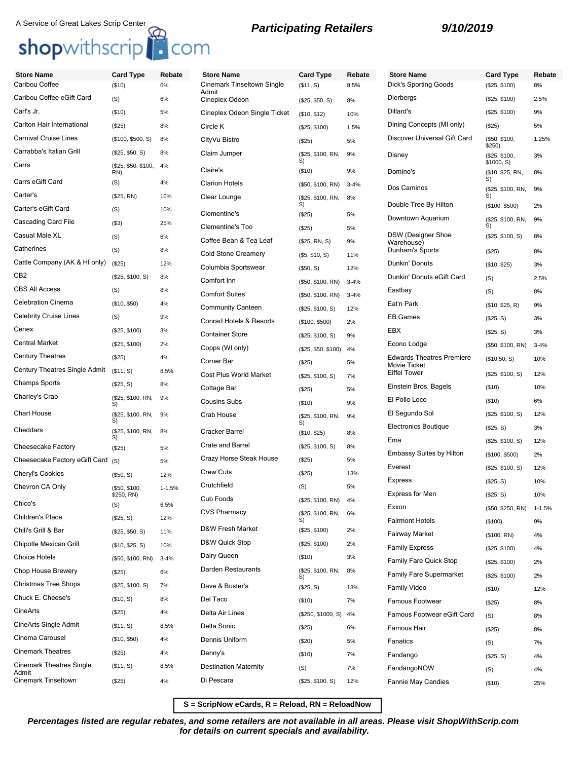# A Service of Great Lakes Scrip Center<br> **Shop**withscrip<br> **Shop**withscrip<br> **Participating Retailers**<br> **9/10/2019**

| <b>Participating Retailers</b> |  |  |  |
|--------------------------------|--|--|--|
|--------------------------------|--|--|--|

| <b>Store Name</b>               | <b>Card Type</b>            | Rebate     | <b>Store Name</b>            | <b>Card Type</b>        | Rebate   | <b>Store Name</b>                                       | <b>Card Type</b>        | Rebate     |
|---------------------------------|-----------------------------|------------|------------------------------|-------------------------|----------|---------------------------------------------------------|-------------------------|------------|
| Caribou Coffee                  | (\$10)                      | 6%         | Cinemark Tinseltown Single   | (\$11, S)               | 8.5%     | <b>Dick's Sporting Goods</b>                            | (\$25, \$100)           | 8%         |
| Caribou Coffee eGift Card       | (S)                         | 6%         | Admit<br>Cineplex Odeon      | (\$25, \$50, S)         | 8%       | Dierbergs                                               | (\$25, \$100)           | 2.5%       |
| Carl's Jr.                      | (\$10)                      | 5%         | Cineplex Odeon Single Ticket | (\$10, \$12)            | 10%      | Dillard's                                               | (\$25, \$100)           | 9%         |
| Carlton Hair International      | (\$25)                      | 8%         | Circle K                     | (\$25, \$100)           | 1.5%     | Dining Concepts (MI only)                               | (\$25)                  | 5%         |
| <b>Carnival Cruise Lines</b>    | (\$100, \$500, S)           | 8%         | CityVu Bistro                | (\$25)                  | 5%       | Discover Universal Gift Card                            | (\$50, \$100,           | 1.25%      |
| Carrabba's Italian Grill        | (\$25, \$50, S)             | 8%         | Claim Jumper                 | (\$25, \$100, RN,       | 9%       | Disney                                                  | \$250)<br>(\$25, \$100, | 3%         |
| Carrs                           | (\$25, \$50, \$100,         | 4%         | Claire's                     | S)<br>(\$10)            | 9%       | Domino's                                                | \$1000, S)              |            |
| Carrs eGift Card                | RN)<br>(S)                  | 4%         | <b>Clarion Hotels</b>        | (\$50, \$100, RN)       | $3 - 4%$ |                                                         | (\$10, \$25, RN,<br>S)  | 8%         |
| Carter's                        | (\$25, RN)                  | 10%        | Clear Lounge                 | (\$25, \$100, RN,       | 8%       | Dos Caminos                                             | (\$25, \$100, RN,<br>S) | 9%         |
| Carter's eGift Card             | (S)                         | 10%        |                              | S)                      |          | Double Tree By Hilton                                   | (\$100, \$500)          | 2%         |
| Cascading Card File             | ( \$3)                      | 25%        | Clementine's                 | (\$25)                  | 5%       | Downtown Aquarium                                       | (\$25, \$100, RN,<br>S) | 9%         |
| Casual Male XL                  | (S)                         | 6%         | <b>Clementine's Too</b>      | (\$25)                  | 5%       | <b>DSW</b> (Designer Shoe                               | (\$25, \$100, S)        | 8%         |
| Catherines                      | (S)                         | 8%         | Coffee Bean & Tea Leaf       | (\$25, RN, S)           | 9%       | Warehouse)<br>Dunham's Sports                           | (\$25)                  | 8%         |
| Cattle Company (AK & HI only)   | (\$25)                      | 12%        | <b>Cold Stone Creamery</b>   | (S5, S10, S)            | 11%      | Dunkin' Donuts                                          |                         |            |
| CB <sub>2</sub>                 | (\$25, \$100, S)            | 8%         | Columbia Sportswear          | (\$50, S)               | 12%      | Dunkin' Donuts eGift Card                               | (\$10, \$25)            | 3%         |
| <b>CBS All Access</b>           |                             |            | Comfort Inn                  | (\$50, \$100, RN)       | $3 - 4%$ |                                                         | (S)                     | 2.5%       |
|                                 | (S)                         | 8%         | <b>Comfort Suites</b>        | (\$50, \$100, RN)       | $3 - 4%$ | Eastbay                                                 | (S)                     | 8%         |
| <b>Celebration Cinema</b>       | (\$10, \$50)                | 4%         | <b>Community Canteen</b>     | (\$25, \$100, S)        | 12%      | Eat'n Park                                              | (\$10, \$25, R)         | 9%         |
| <b>Celebrity Cruise Lines</b>   | (S)                         | 9%         | Conrad Hotels & Resorts      | (\$100, \$500)          | 2%       | <b>EB</b> Games                                         | (\$25, S)               | 3%         |
| Cenex                           | (\$25, \$100)               | 3%         | <b>Container Store</b>       | (\$25, \$100, S)        | 9%       | EBX                                                     | (\$25, S)               | 3%         |
| <b>Central Market</b>           | (\$25, \$100)               | 2%         | Copps (WI only)              | (\$25, \$50, \$100)     | 4%       | Econo Lodge                                             | (\$50, \$100, RN)       | $3 - 4%$   |
| <b>Century Theatres</b>         | (\$25)                      | 4%         | Corner Bar                   | (\$25)                  | 5%       | <b>Edwards Theatres Premiere</b><br><b>Movie Ticket</b> | (\$10.50, S)            | 10%        |
| Century Theatres Single Admit   | (\$11, S)                   | 8.5%       | Cost Plus World Market       | (\$25, \$100, S)        | 7%       | <b>Eiffel Tower</b>                                     | (\$25, \$100, S)        | 12%        |
| <b>Champs Sports</b>            | (\$25, S)                   | 8%         | Cottage Bar                  | (\$25)                  | 5%       | Einstein Bros. Bagels                                   | (\$10)                  | 10%        |
| Charley's Crab                  | (\$25, \$100, RN,<br>S)     | 9%         | <b>Cousins Subs</b>          | (\$10)                  | 9%       | El Pollo Loco                                           | (\$10)                  | 6%         |
| <b>Chart House</b>              | (\$25, \$100, RN,           | 9%         | Crab House                   | (\$25, \$100, RN,       | 9%       | El Segundo Sol                                          | (\$25, \$100, S)        | 12%        |
| Cheddars                        | (\$25, \$100, RN,           | 8%         | Cracker Barrel               | S)<br>(\$10, \$25)      | 8%       | Electronics Boutique                                    | (\$25, S)               | 3%         |
| Cheesecake Factory              | S)                          | 5%         | Crate and Barrel             | (\$25, \$100, S)        | 8%       | Ema                                                     | (\$25, \$100, S)        | 12%        |
| Cheesecake Factory eGift Card   | (\$25)                      |            | Crazy Horse Steak House      | (\$25)                  | 5%       | <b>Embassy Suites by Hilton</b>                         | (\$100, \$500)          | 2%         |
| <b>Cheryl's Cookies</b>         | (S)                         | 5%         | <b>Crew Cuts</b>             | (\$25)                  | 13%      | Everest                                                 | (\$25, \$100, S)        | 12%        |
|                                 | (\$50, S)                   | 12%        | Crutchfield                  |                         |          | Express                                                 | (\$25, S)               | 10%        |
| Chevron CA Only                 | (\$50, \$100,<br>\$250, RN) | $1 - 1.5%$ | Cub Foods                    | (S)                     | 5%       | <b>Express for Men</b>                                  | (\$25, S)               | 10%        |
| Chico's                         | (S)                         | 6.5%       |                              | (\$25, \$100, RN)       | 4%       | Exxon                                                   | (\$50, \$250, RN)       | $1 - 1.5%$ |
| Children's Place                | (\$25, S)                   | 12%        | <b>CVS Pharmacy</b>          | (\$25, \$100, RN,<br>S) | 6%       | <b>Fairmont Hotels</b>                                  | (\$100)                 | 9%         |
| Chili's Grill & Bar             | (\$25, \$50, S)             | 11%        | D&W Fresh Market             | (\$25, \$100)           | 2%       | <b>Fairway Market</b>                                   | (\$100, RN)             | 4%         |
| Chipotle Mexican Grill          | (\$10, \$25, S)             | 10%        | D&W Quick Stop               | (\$25, \$100)           | 2%       | <b>Family Express</b>                                   | (\$25, \$100)           | 4%         |
| <b>Choice Hotels</b>            | (\$50, \$100, RN)           | $3 - 4%$   | Dairy Queen                  | (\$10)                  | 3%       | Family Fare Quick Stop                                  | (\$25, \$100)           | 2%         |
| Chop House Brewery              | (\$25)                      | 6%         | Darden Restaurants           | (\$25, \$100, RN,       | 8%       | Family Fare Supermarket                                 | (\$25, \$100)           | 2%         |
| <b>Christmas Tree Shops</b>     | (\$25, \$100, S)            | 7%         | Dave & Buster's              | S)<br>(\$25, S)         | 13%      | <b>Family Video</b>                                     | (\$10)                  | 12%        |
| Chuck E. Cheese's               | (\$10, S)                   | 8%         | Del Taco                     | (\$10)                  | 7%       | Famous Footwear                                         | (\$25)                  | 8%         |
| CineArts                        | (\$25)                      | 4%         | Delta Air Lines              | (\$250, \$1000, S)      | 4%       | Famous Footwear eGift Card                              |                         |            |
| CineArts Single Admit           | (\$11, S)                   | 8.5%       | Delta Sonic                  | (\$25)                  | 6%       |                                                         | (S)                     | 8%         |
| Cinema Carousel                 | (\$10, \$50)                | 4%         | Dennis Uniform               |                         |          | Famous Hair                                             | (\$25)                  | 8%         |
| <b>Cinemark Theatres</b>        | (\$25)                      | 4%         | Denny's                      | (\$20)                  | 5%       | Fanatics                                                | (S)                     | 7%         |
| <b>Cinemark Theatres Single</b> | (\$11, S)                   | 8.5%       | <b>Destination Maternity</b> | (\$10)                  | 7%       | Fandango                                                | (\$25, S)               | 4%         |
| Admit                           |                             |            |                              | (S)                     | 7%       | FandangoNOW                                             | (S)                     | 4%         |
| Cinemark Tinseltown             | (\$25)                      | 4%         | Di Pescara                   | (\$25, \$100, S)        | 12%      | Fannie May Candies                                      | (\$10)                  | 25%        |

**S = ScripNow eCards, R = Reload, RN = ReloadNow**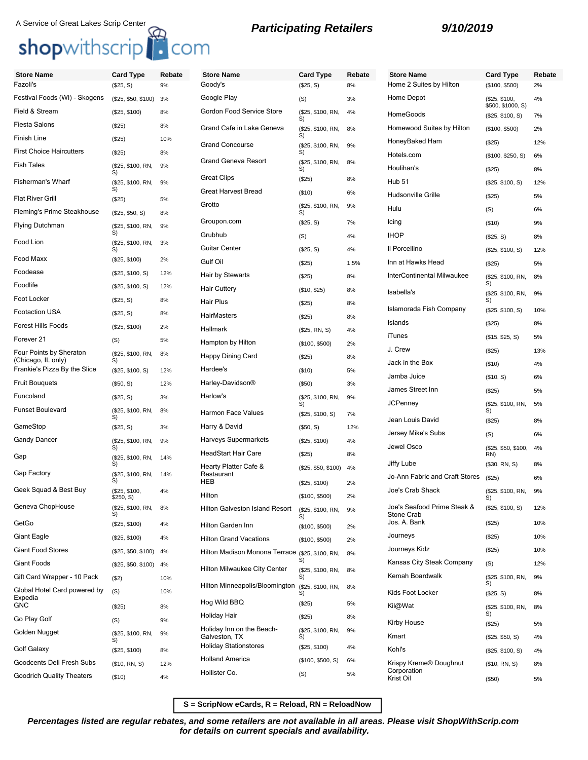## shopwithscrip<sup>1</sup> com

## A Service of Great Lakes Scrip Center **Constructed Barticipating Retailers** 9/10/2019

| <b>Store Name</b><br>Fazoli's                 | <b>Card Type</b>           | Rebate | <b>Store Name</b><br>Goody's                     | <b>Card Type</b>        | Rebate | <b>Store Name</b><br>Home 2 Suites by Hilton | <b>Card Type</b>           | Rebate |
|-----------------------------------------------|----------------------------|--------|--------------------------------------------------|-------------------------|--------|----------------------------------------------|----------------------------|--------|
|                                               | (\$25, S)                  | 9%     |                                                  | (\$25, S)               | 8%     | Home Depot                                   | (\$100, \$500)             | 2%     |
| Festival Foods (WI) - Skogens                 | (\$25, \$50, \$100)        | 3%     | Google Play                                      | (S)<br>3%               |        | (\$25, \$100,<br>\$500, \$1000, S)           | 4%                         |        |
| Field & Stream                                | (\$25, \$100)              | 8%     | Gordon Food Service Store                        | (\$25, \$100, RN,<br>S) | 4%     | HomeGoods                                    | (\$25, \$100, S)           | 7%     |
| Fiesta Salons                                 | (\$25)                     | 8%     | Grand Cafe in Lake Geneva                        | (\$25, \$100, RN,<br>S) | 8%     | Homewood Suites by Hilton                    | (\$100, \$500)             | 2%     |
| Finish Line                                   | (\$25)                     | 10%    | <b>Grand Concourse</b>                           | (\$25, \$100, RN,       | 9%     | HoneyBaked Ham                               | (\$25)                     | 12%    |
| <b>First Choice Haircutters</b>               | (\$25)                     | 8%     | <b>Grand Geneva Resort</b>                       | S)<br>(\$25, \$100, RN, | 8%     | Hotels.com                                   | (\$100, \$250, S)          | 6%     |
| Fish Tales                                    | (\$25, \$100, RN,<br>S)    | 9%     |                                                  | S)                      |        | Houlihan's                                   | (\$25)                     | 8%     |
| Fisherman's Wharf                             | (\$25, \$100, RN,<br>S)    | 9%     | <b>Great Clips</b>                               | (\$25)                  | 8%     | <b>Hub 51</b>                                | (\$25, \$100, S)           | 12%    |
| <b>Flat River Grill</b>                       | (\$25)                     | 5%     | <b>Great Harvest Bread</b>                       | ( \$10)                 | 6%     | Hudsonville Grille                           | (\$25)                     | 5%     |
| Fleming's Prime Steakhouse                    | (\$25, \$50, S)            | 8%     | Grotto                                           | (\$25, \$100, RN,<br>S) | 9%     | Hulu                                         | (S)                        | 6%     |
| Flying Dutchman                               | (\$25, \$100, RN,          | 9%     | Groupon.com                                      | (\$25, S)               | 7%     | Icing                                        | (\$10)                     | 9%     |
| Food Lion                                     | S)<br>(\$25, \$100, RN,    | 3%     | Grubhub                                          | (S)                     | 4%     | <b>IHOP</b>                                  | (\$25, S)                  | 8%     |
|                                               | S)                         |        | <b>Guitar Center</b>                             | (\$25, S)               | 4%     | Il Porcellino                                | (\$25, \$100, S)           | 12%    |
| Food Maxx                                     | (\$25, \$100)              | 2%     | Gulf Oil                                         | (\$25)                  | 1.5%   | Inn at Hawks Head                            | (\$25)                     | 5%     |
| Foodease                                      | (\$25, \$100, S)           | 12%    | Hair by Stewarts                                 | (\$25)                  | 8%     | InterContinental Milwaukee                   | (\$25, \$100, RN,          | 8%     |
| Foodlife                                      | (\$25, \$100, S)           | 12%    | <b>Hair Cuttery</b>                              | (\$10, \$25)            | 8%     | Isabella's                                   | S)<br>(\$25, \$100, RN,    | 9%     |
| Foot Locker                                   | (\$25, S)                  | 8%     | Hair Plus                                        | (\$25)                  | 8%     | Islamorada Fish Company                      | S)                         |        |
| <b>Footaction USA</b>                         | (\$25, S)                  | 8%     | <b>HairMasters</b>                               | (\$25)                  | 8%     | Islands                                      | (\$25, \$100, S)           | 10%    |
| <b>Forest Hills Foods</b>                     | (\$25, \$100)              | 2%     | Hallmark                                         | (\$25, RN, S)           | 4%     | iTunes                                       | (\$25)                     | 8%     |
| Forever 21                                    | (S)                        | 5%     | Hampton by Hilton                                | (\$100, \$500)          | 2%     | J. Crew                                      | (\$15, \$25, S)            | 5%     |
| Four Points by Sheraton<br>(Chicago, IL only) | (\$25, \$100, RN,<br>S)    | 8%     | Happy Dining Card                                | (\$25)                  | 8%     | Jack in the Box                              | (\$25)                     | 13%    |
| Frankie's Pizza By the Slice                  | (\$25, \$100, S)           | 12%    | Hardee's                                         | (\$10)                  | 5%     | Jamba Juice                                  | (\$10)                     | 4%     |
| <b>Fruit Bouquets</b>                         | (\$50, S)                  | 12%    | Harley-Davidson <sup>®</sup>                     | (\$50)                  | 3%     | James Street Inn                             | (\$10, S)                  | 6%     |
| Funcoland                                     | (\$25, S)                  | 3%     | Harlow's                                         | (\$25, \$100, RN,       | 9%     | <b>JCPenney</b>                              | (\$25)                     | 5%     |
| <b>Funset Boulevard</b>                       | (\$25, \$100, RN,<br>S)    | 8%     | Harmon Face Values                               | S)<br>(\$25, \$100, S)  | 7%     |                                              | (\$25, \$100, RN,<br>S)    | 5%     |
| GameStop                                      | (\$25, S)                  | 3%     | Harry & David                                    | (\$50, S)               | 12%    | Jean Louis David                             | (\$25)                     | 8%     |
| Gandy Dancer                                  | (\$25, \$100, RN,          | 9%     | <b>Harveys Supermarkets</b>                      | (\$25, \$100)           | 4%     | Jersey Mike's Subs                           | (S)                        | 6%     |
| Gap                                           | S)<br>(\$25, \$100, RN,    | 14%    | <b>HeadStart Hair Care</b>                       | (\$25)                  | 8%     | Jewel Osco                                   | (\$25, \$50, \$100,<br>RN) | 4%     |
|                                               | S)                         |        | Hearty Platter Cafe &                            | (\$25, \$50, \$100)     | 4%     | Jiffy Lube                                   | (\$30, RN, S)              | 8%     |
| Gap Factory                                   | (\$25, \$100, RN,<br>S)    | 14%    | Restaurant<br><b>HEB</b>                         | (\$25, \$100)           | 2%     | Jo-Ann Fabric and Craft Stores               | (\$25)                     | 6%     |
| Geek Squad & Best Buy                         | (\$25, \$100,<br>\$250, S) | 4%     | Hilton                                           | (\$100, \$500)          | 2%     | Joe's Crab Shack                             | (\$25, \$100, RN,<br>S)    | 9%     |
| Geneva ChopHouse                              | (\$25, \$100, RN,          | 8%     | Hilton Galveston Island Resort                   | (\$25, \$100, RN,<br>S) | 9%     | Joe's Seafood Prime Steak &<br>Stone Crab    | (\$25, \$100, S)           | 12%    |
| GetGo                                         | (\$25, \$100)              | 4%     | Hilton Garden Inn                                | (\$100, \$500)          | 2%     | Jos. A. Bank                                 | (\$25)                     | 10%    |
| Giant Eagle                                   | (\$25, \$100)              | 4%     | <b>Hilton Grand Vacations</b>                    | (\$100, \$500)          | 2%     | Journeys                                     | (\$25)                     | 10%    |
| Giant Food Stores                             | (\$25, \$50, \$100)        | 4%     | Hilton Madison Monona Terrace (\$25, \$100, RN,  |                         | 8%     | Journeys Kidz                                | (\$25)                     | 10%    |
| Giant Foods                                   | (\$25, \$50, \$100)        | 4%     | Hilton Milwaukee City Center                     | S)<br>(\$25, \$100, RN, | 8%     | Kansas City Steak Company                    | (S)                        | 12%    |
| Gift Card Wrapper - 10 Pack                   | ( \$2)                     | 10%    |                                                  | S)                      |        | Kemah Boardwalk                              | (\$25, \$100, RN,<br>S)    | 9%     |
| Global Hotel Card powered by<br>Expedia       | (S)                        | 10%    | Hilton Minneapolis/Bloomington (\$25, \$100, RN, | S)                      | 8%     | Kids Foot Locker                             | (\$25, S)                  | 8%     |
| GNC                                           | (\$25)                     | 8%     | Hog Wild BBQ                                     | (\$25)                  | 5%     | Kil@Wat                                      | (\$25, \$100, RN,          | 8%     |
| Go Play Golf                                  | (S)                        | 9%     | Holiday Hair                                     | (\$25)                  | 8%     | Kirby House                                  | S)<br>(\$25)               | 5%     |
| Golden Nugget                                 | (\$25, \$100, RN,          | 9%     | Holiday Inn on the Beach-<br>Galveston, TX       | (\$25, \$100, RN,<br>S) | 9%     | Kmart                                        | (\$25, \$50, S)            | 4%     |
| Golf Galaxy                                   | S)<br>(\$25, \$100)        | 8%     | <b>Holiday Stationstores</b>                     | (\$25, \$100)           | 4%     | Kohl's                                       | (\$25, \$100, S)           | 4%     |
| Goodcents Deli Fresh Subs                     | (\$10, RN, S)              | 12%    | <b>Holland America</b>                           | (\$100, \$500, S)       | 6%     | Krispy Kreme® Doughnut                       | (\$10, RN, S)              | 8%     |
| <b>Goodrich Quality Theaters</b>              | (\$10)                     | 4%     | Hollister Co.                                    | (S)                     | 5%     | Corporation<br>Krist Oil                     | (\$50)                     | 5%     |

**S = ScripNow eCards, R = Reload, RN = ReloadNow**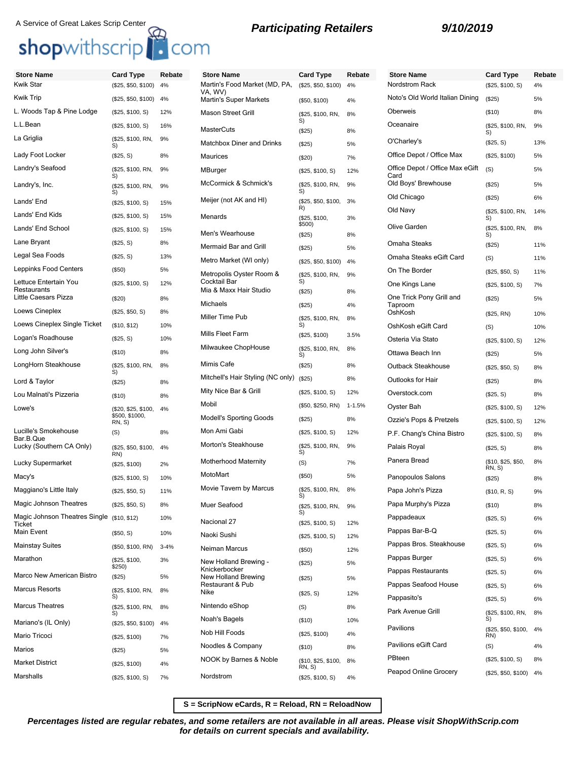## A Service of Great Lakes Scrip Center<br> **Shop**withscrip<br> **Shop**withscrip<br> **Participating Retailers**<br> **9/10/2019**

| <b>Store Name</b>                                    | <b>Card Type</b>           | Rebate   | <b>Store Name</b>                                                                       | <b>Card Type</b>              | Rebate   | <b>Store Name</b>                       | <b>Card Type</b>               | Rebate   |
|------------------------------------------------------|----------------------------|----------|-----------------------------------------------------------------------------------------|-------------------------------|----------|-----------------------------------------|--------------------------------|----------|
| <b>Kwik Star</b>                                     | (\$25, \$50, \$100)        | 4%       | Martin's Food Market (MD, PA,<br>VA, WV)                                                | (\$25, \$50, \$100)           | 4%       | Nordstrom Rack                          | (\$25, \$100, S)               | 4%       |
| <b>Kwik Trip</b>                                     | (\$25, \$50, \$100)        | 4%       | Noto's Old World Italian Dining<br><b>Martin's Super Markets</b><br>4%<br>(\$50, \$100) |                               | (\$25)   | 5%                                      |                                |          |
| L. Woods Tap & Pine Lodge                            | (\$25, \$100, S)           | 12%      | <b>Mason Street Grill</b>                                                               | (\$25, \$100, RN,<br>S)       | 8%       | Oberweis                                | (\$10)                         | 8%       |
| L.L.Bean                                             | (\$25, \$100, S)           | 16%      | <b>MasterCuts</b>                                                                       | (\$25)                        | 8%       | Oceanaire                               | (\$25, \$100, RN,<br>S)        | 9%       |
| La Griglia                                           | (\$25, \$100, RN,<br>S)    | 9%       | <b>Matchbox Diner and Drinks</b>                                                        | (\$25)                        | 5%       | O'Charley's                             | (\$25, S)                      | 13%      |
| Lady Foot Locker                                     | (\$25, S)                  | 8%       | Maurices                                                                                | (\$20)                        | 7%       | Office Depot / Office Max               | (\$25, \$100)                  | 5%       |
| Landry's Seafood                                     | (\$25, \$100, RN,<br>S)    | 9%       | MBurger                                                                                 | (\$25, \$100, S)              | 12%      | Office Depot / Office Max eGift<br>Card | (S)                            | 5%       |
| Landry's, Inc.                                       | (\$25, \$100, RN,<br>S)    | 9%       | McCormick & Schmick's                                                                   | (\$25, \$100, RN,<br>S)       | 9%       | Old Boys' Brewhouse                     | (\$25)                         | 5%       |
| Lands' End                                           | (\$25, \$100, S)           | 15%      | Meijer (not AK and HI)                                                                  | (\$25, \$50, \$100,<br>R)     | 3%       | Old Chicago                             | (\$25)                         | 6%       |
| Lands' End Kids                                      | (\$25, \$100, S)           | 15%      | Menards                                                                                 | (\$25, \$100,                 | 3%       | Old Navy                                | (\$25, \$100, RN,<br>S)        | 14%      |
| Lands' End School                                    | (\$25, \$100, S)           | 15%      | Men's Wearhouse                                                                         | \$500)<br>(\$25)              | 8%       | Olive Garden                            | (\$25, \$100, RN,<br>S)        | 8%       |
| Lane Bryant                                          | (\$25, S)                  | 8%       | Mermaid Bar and Grill                                                                   | (\$25)                        | 5%       | Omaha Steaks                            | (\$25)                         | 11%      |
| Legal Sea Foods                                      | (\$25, S)                  | 13%      | Metro Market (WI only)                                                                  | (\$25, \$50, \$100)           | 4%       | Omaha Steaks eGift Card                 | (S)                            | 11%      |
| Leppinks Food Centers                                | (\$50)                     | 5%       | Metropolis Oyster Room &                                                                | (\$25, \$100, RN,             | 9%       | On The Border                           | (\$25, \$50, S)                | 11%      |
| Lettuce Entertain You<br>Restaurants                 | (\$25, \$100, S)           | 12%      | Cocktail Bar<br>Mia & Maxx Hair Studio                                                  | S)                            |          | One Kings Lane                          | (\$25, \$100, S)               | 7%       |
| Little Caesars Pizza                                 | (\$20)                     | 8%       | Michaels                                                                                | (\$25)                        | 8%       | One Trick Pony Grill and                | (\$25)                         | 5%       |
| Loews Cineplex                                       | (\$25, \$50, S)            | 8%       | Miller Time Pub                                                                         | (\$25)<br>(\$25, \$100, RN,   | 4%<br>8% | Taproom<br>OshKosh                      | (\$25, RN)                     | 10%      |
| Loews Cineplex Single Ticket                         | (\$10, \$12)               | 10%      |                                                                                         | S)                            |          | OshKosh eGift Card                      | (S)                            | 10%      |
| Logan's Roadhouse                                    | (\$25, S)                  | 10%      | Mills Fleet Farm                                                                        | (\$25, \$100)                 | 3.5%     | Osteria Via Stato                       | (\$25, \$100, S)               | 12%      |
| Long John Silver's                                   | (\$10)                     | 8%       | Milwaukee ChopHouse                                                                     | (\$25, \$100, RN,<br>S)       | 8%       | Ottawa Beach Inn                        | (\$25)                         | 5%       |
| LongHorn Steakhouse                                  | (\$25, \$100, RN,<br>S)    | 8%       | Mimis Cafe                                                                              | (\$25)                        | 8%       | Outback Steakhouse                      | (\$25, \$50, S)                | 8%       |
| Lord & Taylor                                        | (\$25)                     | 8%       | Mitchell's Hair Styling (NC only) (\$25)                                                |                               | 8%       | Outlooks for Hair                       | (\$25)                         | 8%       |
| Lou Malnati's Pizzeria                               | (\$10)                     | 8%       | Mity Nice Bar & Grill                                                                   | (\$25, \$100, S)              | 12%      | Overstock.com                           | (\$25, S)                      | 8%       |
| Lowe's                                               | (\$20, \$25, \$100,        | 4%       | Mobil                                                                                   | (\$50, \$250, RN)             | 1-1.5%   | Oyster Bah                              | (\$25, \$100, S)               | 12%      |
|                                                      | \$500, \$1000,<br>RN, S)   |          | <b>Modell's Sporting Goods</b>                                                          | (\$25)                        | 8%       | Ozzie's Pops & Pretzels                 | (\$25, \$100, S)               | 12%      |
| Lucille's Smokehouse<br>Bar.B.Que                    | (S)                        | 8%       | Mon Ami Gabi                                                                            | (\$25, \$100, S)              | 12%      | P.F. Chang's China Bistro               | (\$25, \$100, S)               | 8%       |
| Lucky (Southern CA Only)                             | (\$25, \$50, \$100,<br>RN) | 4%       | Morton's Steakhouse                                                                     | (\$25, \$100, RN,<br>S)       | 9%       | Palais Royal                            | (\$25, S)                      | 8%       |
| Lucky Supermarket                                    | (\$25, \$100)              | 2%       | Motherhood Maternity                                                                    | (S)                           | 7%       | Panera Bread                            | (\$10, \$25, \$50,<br>RN, S)   | 8%       |
| Macy's                                               | (\$25, \$100, S)           | 10%      | MotoMart                                                                                | (\$50)                        | 5%       | Panopoulos Salons                       | (\$25)                         | 8%       |
| Maggiano's Little Italy                              | (\$25, \$50, S)            | 11%      | Movie Tavern by Marcus                                                                  | (\$25, \$100, RN,<br>S)       | 8%       | Papa John's Pizza                       | (\$10, R, S)                   | 9%       |
| Magic Johnson Theatres                               | (\$25, \$50, S)            | 8%       | Muer Seafood                                                                            | (\$25, \$100, RN,<br>S)       | 9%       | Papa Murphy's Pizza                     | (\$10)                         | 8%       |
| Magic Johnson Theatres Single (\$10, \$12)<br>Ticket |                            | 10%      | Nacional 27                                                                             | (\$25, \$100, S)              | 12%      | Pappadeaux                              | (\$25, S)                      | 6%       |
| Main Event                                           | (\$50, S)                  | 10%      | Naoki Sushi                                                                             | (\$25, \$100, S)              | 12%      | Pappas Bar-B-Q                          | (\$25, S)                      | 6%       |
| <b>Mainstay Suites</b>                               | (\$50, \$100, RN)          | $3 - 4%$ | Neiman Marcus                                                                           | (\$50)                        | 12%      | Pappas Bros. Steakhouse                 | (\$25, S)                      | 6%       |
| Marathon                                             | (\$25, \$100,<br>\$250)    | 3%       | New Holland Brewing -                                                                   | (\$25)                        | 5%       | Pappas Burger                           | (\$25, S)                      | 6%       |
| Marco New American Bistro                            | (\$25)                     | 5%       | Knickerbocker<br>New Holland Brewing                                                    | (\$25)                        | 5%       | Pappas Restaurants                      | (\$25, S)                      | 6%       |
| <b>Marcus Resorts</b>                                | (\$25, \$100, RN,          | 8%       | Restaurant & Pub<br>Nike                                                                | (\$25, S)                     | 12%      | Pappas Seafood House                    | (\$25, S)                      | 6%       |
| <b>Marcus Theatres</b>                               | S)<br>(\$25, \$100, RN,    | 8%       | Nintendo eShop                                                                          | (S)                           | 8%       | Pappasito's<br>Park Avenue Grill        | (\$25, S)<br>(\$25, \$100, RN, | 6%<br>8% |
| Mariano's (IL Only)                                  | S)<br>(\$25, \$50, \$100)  | 4%       | Noah's Bagels                                                                           | (\$10)                        | 10%      |                                         | S)                             |          |
| Mario Tricoci                                        | (\$25, \$100)              | 7%       | Nob Hill Foods                                                                          | (\$25, \$100)                 | 4%       | Pavilions                               | (\$25, \$50, \$100,<br>RN)     | 4%       |
| Marios                                               | (\$25)                     | 5%       | Noodles & Company                                                                       | (\$10)                        | 8%       | Pavilions eGift Card                    | (S)                            | 4%       |
| <b>Market District</b>                               | (\$25, \$100)              | 4%       | NOOK by Barnes & Noble                                                                  | (\$10, \$25, \$100,<br>RN, S) | 8%       | PBteen                                  | (\$25, \$100, S)               | 8%       |
| Marshalls                                            | (\$25, \$100, S)           | 7%       | Nordstrom                                                                               | (\$25, \$100, S)              | 4%       | Peapod Online Grocery                   | (\$25, \$50, \$100) 4%         |          |

**S = ScripNow eCards, R = Reload, RN = ReloadNow**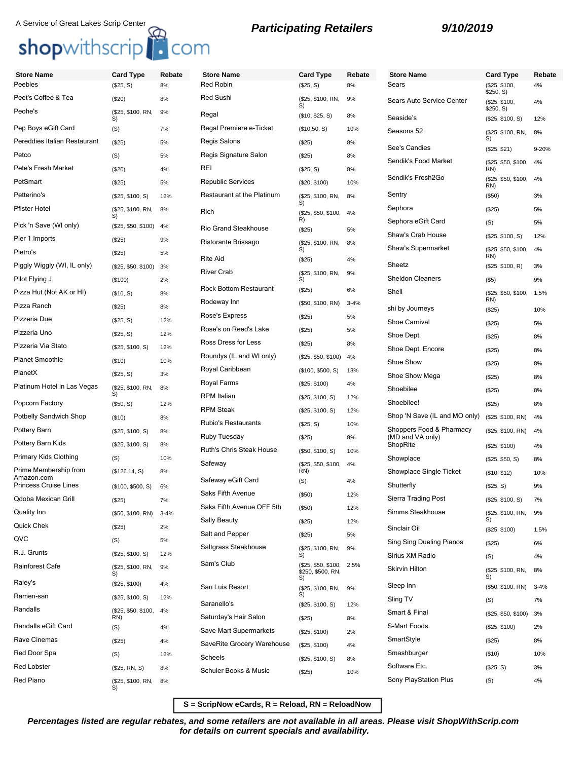## A Service of Great Lakes Scrip Center<br> **Participating Retailers** 9/10/2019

## shopwithscrip<sup>1</sup> com

## **Store Name Card Type Rebate** Peebles (\$25, S) 8% Peet's Coffee & Tea (\$20) 8% Peohe's (\$25, \$100, RN, S) 9% Pep Boys eGift Card (S) 7% Pereddies Italian Restaurant (\$25) 5% Petco (S) 5% Pete's Fresh Market (\$20) 4% PetSmart (\$25) 5% Petterino's (\$25, \$100, S) 12% Pfister Hotel (\$25, \$100, RN, S) 8% Pick 'n Save (WI only) (\$25, \$50, \$100) 4% Pier 1 Imports (\$25) 9% Pietro's (\$25) 5% Piggly Wiggly (WI, IL only) (\$25, \$50, \$100) 3% Pilot Flying J (\$100) 2% Pizza Hut (Not AK or HI) (\$10, S) 8% Pizza Ranch (\$25) 8% Pizzeria Due (\$25, S) 12% Pizzeria Uno (\$25, S) 12% Pizzeria Via Stato (\$25, \$100, S) 12% Planet Smoothie (\$10) 10% PlanetX (\$25, S) 3% Platinum Hotel in Las Vegas (\$25, \$100, RN, S) 8% Popcorn Factory (\$50, S) 12% Potbelly Sandwich Shop (\$10) 8% Pottery Barn (\$25, \$100, S) 8% Pottery Barn Kids (\$25, \$100, S) 8% Primary Kids Clothing (S) 10% Prime Membership from Amazon.com (\$126.14, S) 8% Princess Cruise Lines (\$100, \$500, S) 6% Qdoba Mexican Grill (\$25) 7% Quality Inn (\$50, \$100, RN) 3-4% Quick Chek (\$25) 2% QVC (S) 5% R.J. Grunts (\$25, \$100, S) 12% Rainforest Cafe (\$25, \$100, RN, S) 9% Raley's (\$25, \$100) 4% Ramen-san (\$25, \$100, S) 12% Randalls (\$25, \$50, \$100, 4% RN) Randalls eGift Card (S) 4% Rave Cinemas (\$25) 4% Red Door Spa (S) 12% Red Lobster (\$25, RN, S) 8% Red Piano (\$25, \$100, RN, S) 8% **Store Name Card Type Rebate** Red Robin Red Sushi S) Regal (\$10, \$25, S) 8% Regal Premiere e-Ticket Regis Salons Regis Signature Salon REI (\$25, S) 8% Republic Services Restaurant at the Platinu S) Rich (\$25, \$50, \$100, R) Rio Grand Steakhouse Ristorante Brissago S) Rite Aid **River Crab** S) Rock Bottom Restaurant Rodeway Inn Rose's Express Rose's on Reed's Lake Ross Dress for Less Roundys (IL and WI only Royal Caribbean **Royal Farms** RPM Italian RPM Steak Rubio's Restaurants **Ruby Tuesday** Ruth's Chris Steak Hous Safeway Safeway eGift Card Saks Fifth Avenue Saks Fifth Avenue OFF Sally Beauty Salt and Pepper Saltgrass Steakhouse S) Sam's Club S) San Luis Resort S) Saranello's Saturday's Hair Salon Save Mart Supermarkets SaveRite Grocery Wareh Scheels (\$25, \$100, S) 8% Schuler Books & Music

|       | <b>Card Type</b>                               | <b>Rebate</b> |
|-------|------------------------------------------------|---------------|
|       | (\$25, S)                                      | 8%            |
|       | (\$25, \$100, RN,<br>S)                        | 9%            |
|       | (\$10, \$25, S)                                | 8%            |
| ĺ     | (\$10.50, S)                                   | 10%           |
|       | (\$25)                                         | 8%            |
|       | $(\$25)$                                       | 8%            |
|       | (\$25, S)                                      | 8%            |
|       | (\$20, \$100)                                  | 10%           |
| JM    | (\$25, \$100, RN,<br>S)                        | 8%            |
|       | (\$25, \$50, \$100,<br>R)                      | 4%            |
|       | $(\$25)$                                       | 5%            |
|       | (\$25, \$100, RN,<br>S)                        | 8%            |
|       | (\$25)                                         | 4%            |
|       | (\$25, \$100, RN,<br>S)                        | 9%            |
| t     | (\$25)                                         | 6%            |
|       | (\$50, \$100, RN)                              | $3 - 4%$      |
|       | (\$25)                                         | 5%            |
|       | (\$25)                                         | 5%            |
|       | (\$25)                                         | 8%            |
| I)    | (\$25, \$50, \$100)                            | 4%            |
|       | (\$100, \$500, S)                              | 13%           |
|       | (\$25, \$100)                                  | 4%            |
|       | (\$25, \$100, S)                               | 12%           |
|       | (\$25, \$100, S)                               | 12%           |
|       | (\$25, S)                                      | 10%           |
|       | $(\$25)$                                       | 8%            |
| sе    | (\$50, \$100, S)                               | 10%           |
|       | (\$25, \$50, \$100,<br>RN)                     | 4%            |
|       | (S)                                            | 4%            |
|       | (\$50)                                         | 12%           |
| 5th   | $(\$50)$                                       | 12%           |
|       | (\$25)                                         | 12%           |
|       | (\$25)                                         | 5%            |
|       | (\$25, \$100, RN,<br>S)                        | 9%            |
|       | (\$25, \$50, \$100,<br>\$250, \$500, RN,<br>S) | 2.5%          |
|       | (\$25, \$100, RN,<br>S)                        | 9%            |
|       | (\$25, \$100, S)                               | 12%           |
|       | (\$25)                                         | 8%            |
| s     | (\$25, \$100)                                  | 2%            |
| house | (\$25, \$100)                                  | 4%            |
|       | (\$25, \$100, S)                               | 8%            |
|       | (\$25)                                         | 10%           |
|       |                                                |               |

| <b>Store Name</b>                            | <b>Card Type</b>           | Rebate   |
|----------------------------------------------|----------------------------|----------|
| Sears                                        | (\$25, \$100,<br>\$250, S) | 4%       |
| Sears Auto Service Center                    | (\$25, \$100,<br>\$250, S) | 4%       |
| Seaside's                                    | (\$25, \$100, S)           | 12%      |
| Seasons 52                                   | (\$25, \$100, RN,<br>S)    | 8%       |
| See's Candies                                | (\$25, \$21)               | 9-20%    |
| Sendik's Food Market                         | (\$25, \$50, \$100,<br>RN) | 4%       |
| Sendik's Fresh2Go                            | (\$25, \$50, \$100,<br>RN) | 4%       |
| Sentry                                       | $($ \$50)                  | 3%       |
| Sephora                                      | (\$25)                     | 5%       |
| Sephora eGift Card                           | (S)                        | 5%       |
| Shaw's Crab House                            | (\$25, \$100, S)           | 12%      |
| Shaw's Supermarket                           | (\$25, \$50, \$100,<br>RN) | 4%       |
| Sheetz                                       | (\$25, \$100, R)           | 3%       |
| <b>Sheldon Cleaners</b>                      | $($ \$5)                   | 9%       |
| Shell                                        | (\$25, \$50, \$100,<br>RN) | 1.5%     |
| shi by Journeys                              | (\$25)                     | 10%      |
| <b>Shoe Carnival</b>                         | $(\$25)$                   | 5%       |
| Shoe Dept.                                   | (\$25)                     | 8%       |
| Shoe Dept. Encore                            | (\$25)                     | 8%       |
| Shoe Show                                    | $(\$25)$                   | 8%       |
| Shoe Show Mega                               | $(\$25)$                   | 8%       |
| Shoebilee                                    | (\$25)                     | 8%       |
| Shoebilee!                                   | $(\$25)$                   | 8%       |
| Shop 'N Save (IL and MO only)                | (\$25, \$100, RN)          | 4%       |
| Shoppers Food & Pharmacy<br>(MD and VA only) | (\$25, \$100, RN)          | 4%       |
| ShopRite                                     | (\$25, \$100)              | 4%       |
| Showplace                                    | (\$25, \$50, S)            | 8%       |
| Showplace Single Ticket                      | (\$10, \$12)               | 10%      |
| Shutterfly                                   | $(\$25, S)$                | 9%       |
| Sierra Trading Post                          | (\$25, \$100, S)           | 7%       |
| Simms Steakhouse                             | (\$25, \$100, RN,<br>S)    | 9%       |
| Sinclair Oil                                 | (\$25, \$100)              | 1.5%     |
| Sing Sing Dueling Pianos                     | (\$25)                     | 6%       |
| Sirius XM Radio                              | (S)                        | 4%       |
| Skirvin Hilton                               | (\$25, \$100, RN,<br>S)    | 8%       |
| Sleep Inn                                    | (\$50, \$100, RN)          | $3 - 4%$ |
| Sling TV                                     | (S)                        | 7%       |
| Smart & Final                                | (\$25, \$50, \$100)        | 3%       |
| S-Mart Foods                                 | (\$25, \$100)              | 2%       |
| SmartStyle                                   | (\$25)                     | 8%       |
| Smashburger                                  | (\$10)                     | 10%      |
| Software Etc.                                | (\$25, S)                  | 3%       |
| Sony PlayStation Plus                        | (S)                        | 4%       |

**S = ScripNow eCards, R = Reload, RN = ReloadNow**